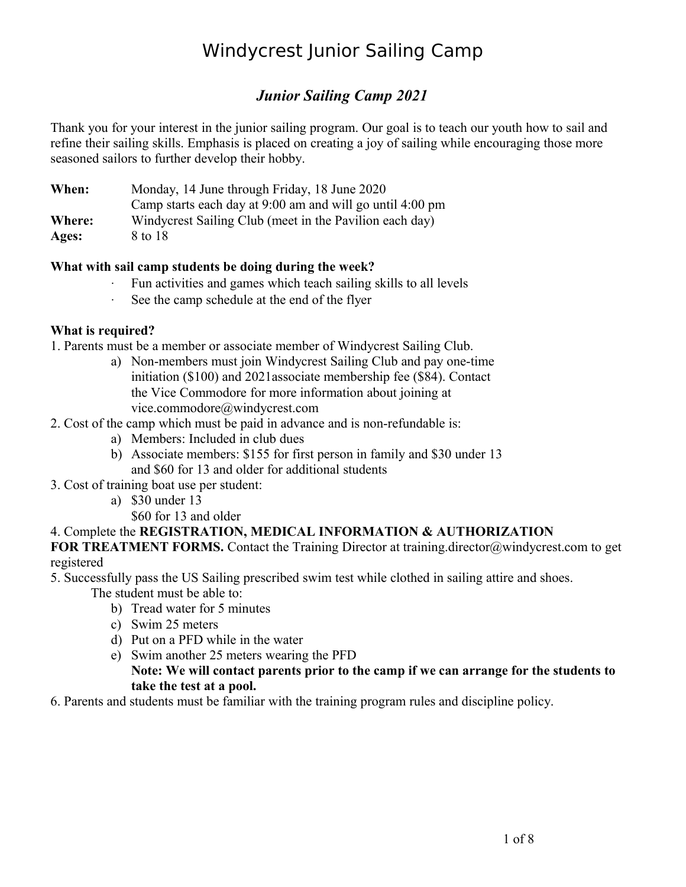### *Junior Sailing Camp 2021*

Thank you for your interest in the junior sailing program. Our goal is to teach our youth how to sail and refine their sailing skills. Emphasis is placed on creating a joy of sailing while encouraging those more seasoned sailors to further develop their hobby.

**When:** Monday, 14 June through Friday, 18 June 2020 Camp starts each day at 9:00 am and will go until 4:00 pm **Where:** Windycrest Sailing Club (meet in the Pavilion each day)

**Ages:** 8 to 18

#### **What with sail camp students be doing during the week?**

- Fun activities and games which teach sailing skills to all levels
- See the camp schedule at the end of the flyer

#### **What is required?**

- 1. Parents must be a member or associate member of Windycrest Sailing Club.
	- a) Non-members must join Windycrest Sailing Club and pay one-time initiation (\$100) and 2021associate membership fee (\$84). Contact the Vice Commodore for more information about joining at vice.commodore@windycrest.com
- 2. Cost of the camp which must be paid in advance and is non-refundable is:
	- a) Members: Included in club dues
	- b) Associate members: \$155 for first person in family and \$30 under 13 and \$60 for 13 and older for additional students
- 3. Cost of training boat use per student:
	- a) \$30 under 13
		- \$60 for 13 and older

#### 4. Complete the **REGISTRATION, MEDICAL INFORMATION & AUTHORIZATION**

**FOR TREATMENT FORMS.** Contact the Training Director at training director@windycrest.com to get registered

5. Successfully pass the US Sailing prescribed swim test while clothed in sailing attire and shoes. The student must be able to:

- b) Tread water for 5 minutes
- c) Swim 25 meters
- d) Put on a PFD while in the water
- e) Swim another 25 meters wearing the PFD

#### **Note: We will contact parents prior to the camp if we can arrange for the students to take the test at a pool.**

6. Parents and students must be familiar with the training program rules and discipline policy.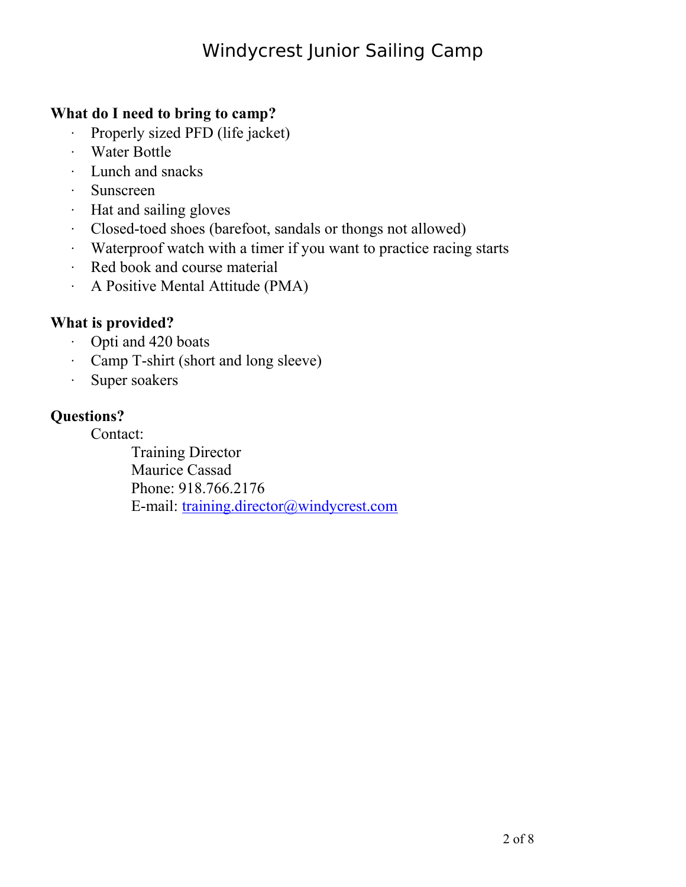### **What do I need to bring to camp?**

- Properly sized PFD (life jacket)
- Water Bottle
- Lunch and snacks
- Sunscreen
- Hat and sailing gloves
- Closed-toed shoes (barefoot, sandals or thongs not allowed)
- Waterproof watch with a timer if you want to practice racing starts
- Red book and course material
- A Positive Mental Attitude (PMA)

## **What is provided?**

- Opti and 420 boats
- Camp T-shirt (short and long sleeve)
- Super soakers

### **Questions?**

Contact:

Training Director Maurice Cassad Phone: 918.766.2176 E-mail: [training.director@windycrest.com](mailto:training.director@windycrest.com)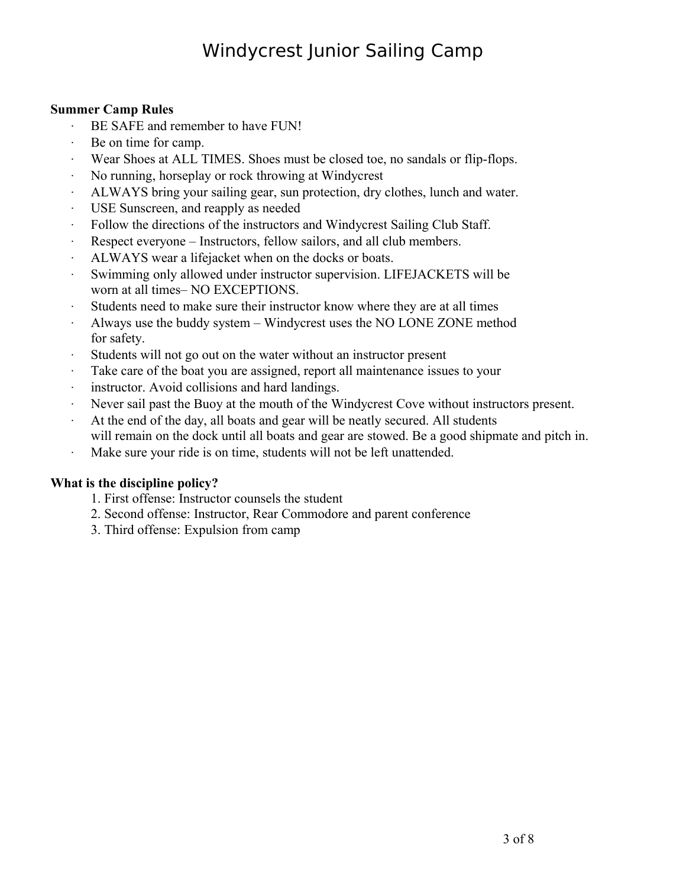#### **Summer Camp Rules**

- BE SAFE and remember to have FUN!
- Be on time for camp.
- Wear Shoes at ALL TIMES. Shoes must be closed toe, no sandals or flip-flops.
- No running, horseplay or rock throwing at Windycrest
- ALWAYS bring your sailing gear, sun protection, dry clothes, lunch and water.
- USE Sunscreen, and reapply as needed
- Follow the directions of the instructors and Windycrest Sailing Club Staff.
- Respect everyone Instructors, fellow sailors, and all club members.
- ALWAYS wear a lifejacket when on the docks or boats.
- Swimming only allowed under instructor supervision. LIFEJACKETS will be worn at all times– NO EXCEPTIONS.
- Students need to make sure their instructor know where they are at all times
- Always use the buddy system Windycrest uses the NO LONE ZONE method for safety.
- Students will not go out on the water without an instructor present
- Take care of the boat you are assigned, report all maintenance issues to your
- instructor. Avoid collisions and hard landings.
- Never sail past the Buoy at the mouth of the Windycrest Cove without instructors present.
- At the end of the day, all boats and gear will be neatly secured. All students will remain on the dock until all boats and gear are stowed. Be a good shipmate and pitch in.
- Make sure your ride is on time, students will not be left unattended.

#### **What is the discipline policy?**

- 1. First offense: Instructor counsels the student
- 2. Second offense: Instructor, Rear Commodore and parent conference
- 3. Third offense: Expulsion from camp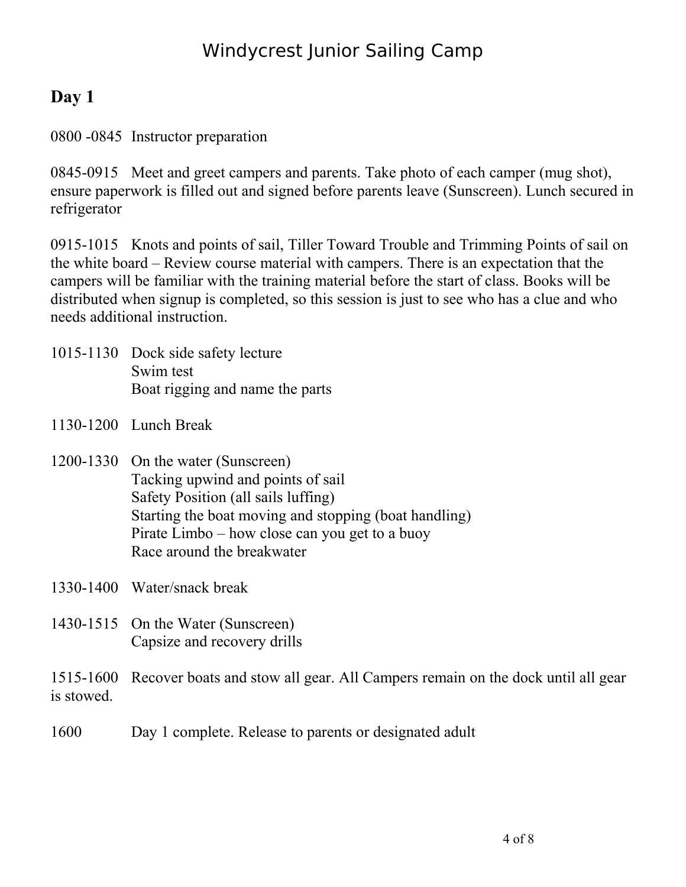## **Day 1**

0800 -0845 Instructor preparation

0845-0915 Meet and greet campers and parents. Take photo of each camper (mug shot), ensure paperwork is filled out and signed before parents leave (Sunscreen). Lunch secured in refrigerator

0915-1015 Knots and points of sail, Tiller Toward Trouble and Trimming Points of sail on the white board – Review course material with campers. There is an expectation that the campers will be familiar with the training material before the start of class. Books will be distributed when signup is completed, so this session is just to see who has a clue and who needs additional instruction.

- 1015-1130 Dock side safety lecture Swim test Boat rigging and name the parts
- 1130-1200 Lunch Break
- 1200-1330 On the water (Sunscreen) Tacking upwind and points of sail Safety Position (all sails luffing) Starting the boat moving and stopping (boat handling) Pirate Limbo – how close can you get to a buoy Race around the breakwater

1330-1400 Water/snack break

1430-1515 On the Water (Sunscreen) Capsize and recovery drills

1515-1600 Recover boats and stow all gear. All Campers remain on the dock until all gear is stowed.

1600 Day 1 complete. Release to parents or designated adult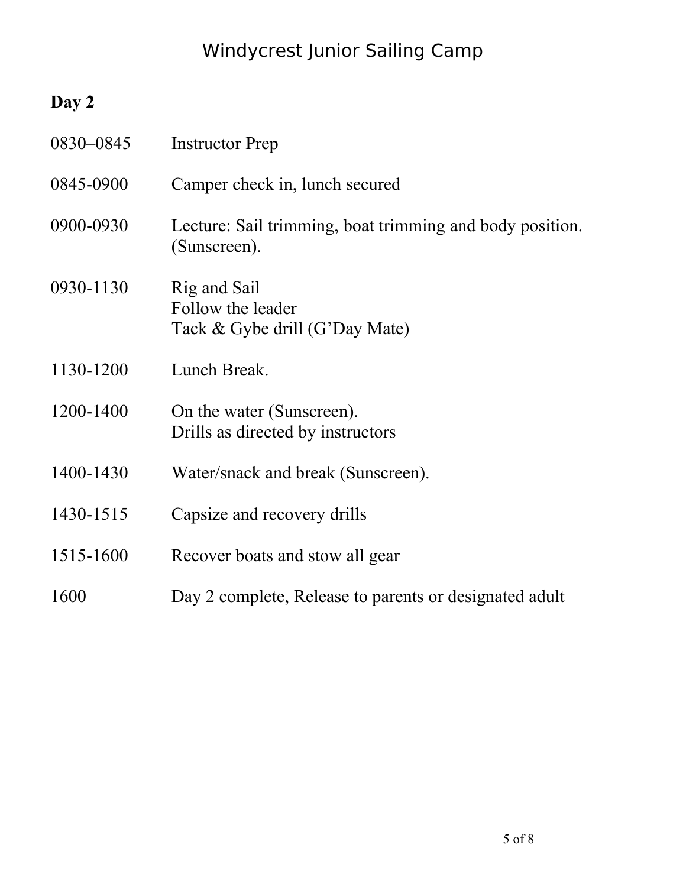## **Day 2**

| 0830-0845 | <b>Instructor Prep</b>                                                   |
|-----------|--------------------------------------------------------------------------|
| 0845-0900 | Camper check in, lunch secured                                           |
| 0900-0930 | Lecture: Sail trimming, boat trimming and body position.<br>(Sunscreen). |
| 0930-1130 | Rig and Sail<br>Follow the leader<br>Tack & Gybe drill (G'Day Mate)      |
| 1130-1200 | Lunch Break.                                                             |
| 1200-1400 | On the water (Sunscreen).<br>Drills as directed by instructors           |
| 1400-1430 | Water/snack and break (Sunscreen).                                       |
| 1430-1515 | Capsize and recovery drills                                              |
| 1515-1600 | Recover boats and stow all gear                                          |
| 1600      | Day 2 complete, Release to parents or designated adult                   |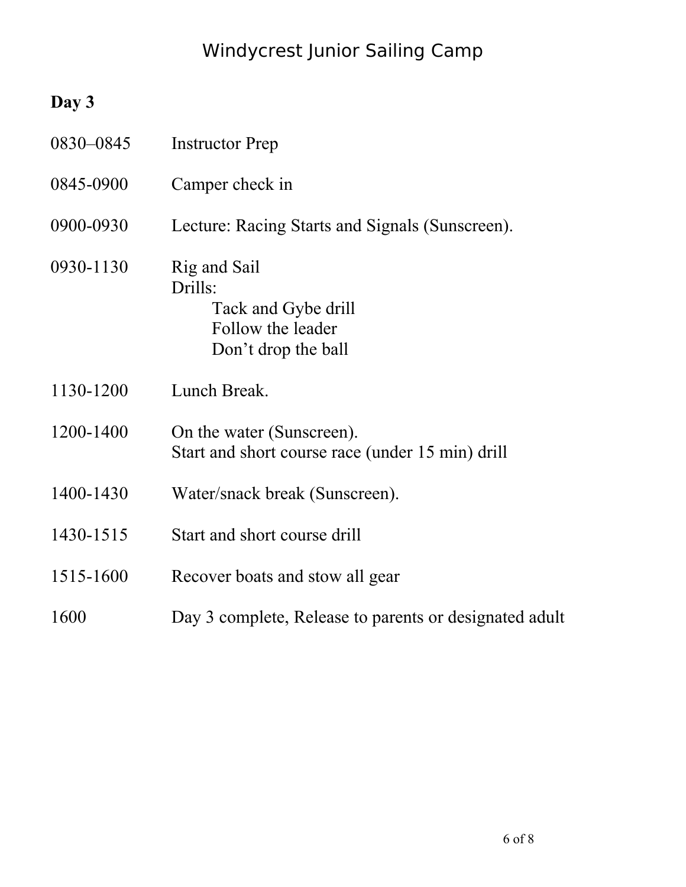## **Day 3**

| 0830-0845 | <b>Instructor Prep</b>                                                                     |
|-----------|--------------------------------------------------------------------------------------------|
| 0845-0900 | Camper check in                                                                            |
| 0900-0930 | Lecture: Racing Starts and Signals (Sunscreen).                                            |
| 0930-1130 | Rig and Sail<br>Drills:<br>Tack and Gybe drill<br>Follow the leader<br>Don't drop the ball |
| 1130-1200 | Lunch Break.                                                                               |
| 1200-1400 | On the water (Sunscreen).<br>Start and short course race (under 15 min) drill              |
| 1400-1430 | Water/snack break (Sunscreen).                                                             |
| 1430-1515 | Start and short course drill                                                               |
| 1515-1600 | Recover boats and stow all gear                                                            |
| 1600      | Day 3 complete, Release to parents or designated adult                                     |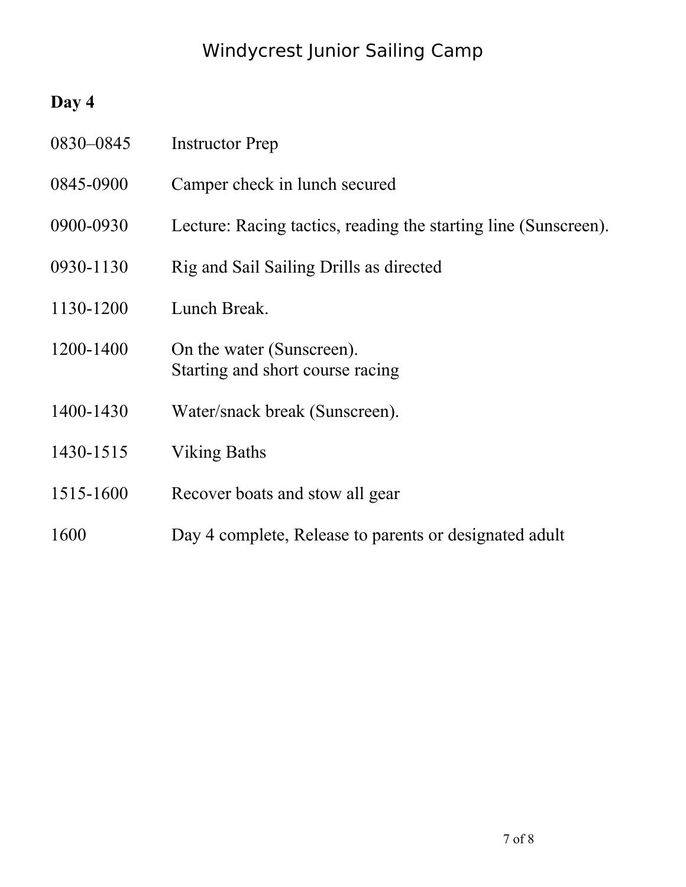## **Day 4**

| 0830-0845 | <b>Instructor Prep</b>                                          |
|-----------|-----------------------------------------------------------------|
| 0845-0900 | Camper check in lunch secured                                   |
| 0900-0930 | Lecture: Racing tactics, reading the starting line (Sunscreen). |
| 0930-1130 | Rig and Sail Sailing Drills as directed                         |
| 1130-1200 | Lunch Break.                                                    |
| 1200-1400 | On the water (Sunscreen).<br>Starting and short course racing   |
| 1400-1430 | Water/snack break (Sunscreen).                                  |
| 1430-1515 | <b>Viking Baths</b>                                             |
| 1515-1600 | Recover boats and stow all gear                                 |
| 1600      | Day 4 complete, Release to parents or designated adult          |